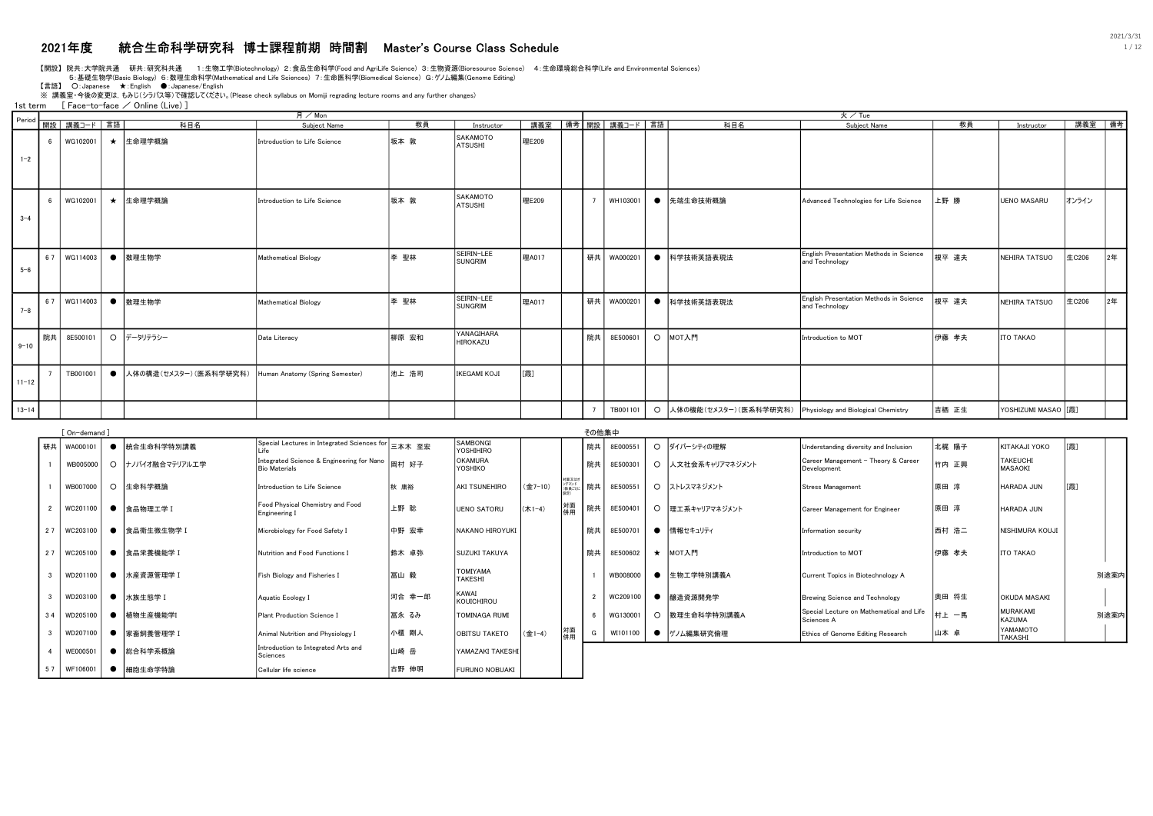# 2021年度 統合生命科学研究科 博士課程前期 時間割 Master's Course Class Schedule 1 / 12

【開設】 院共:大学院共通 研共:研究科共通 1:生物工学(Biotechnology) 2:食品生命科学(Food and AgriLife Science) 3:生物資源(Bioresource Science) 4:生命環境総合科学(Life and Environmental Sciences)

5:基礎生物学(Basic Biology) 6:数理生命科学(Mathematical and Life Sciences) 7:生命医科学(Biomedical Science) G:ゲノム編集(Genome Editing)

【言語】 ○: Japanese ★: English ●: Japanese/English<br>※ 講義室 •今後の変更は, もみじ(シラバス等)で確認してください。(Please check syllabus on Momiji regrading lecture rooms and any further changes)

1st term [ Face-to-face / Online (Live) ]

|           |    |                          |           |                        | 月/Mon                           |       |                              |       |    |                  |         |                                                            | 火/Tue                                                     |       |                     |        |    |
|-----------|----|--------------------------|-----------|------------------------|---------------------------------|-------|------------------------------|-------|----|------------------|---------|------------------------------------------------------------|-----------------------------------------------------------|-------|---------------------|--------|----|
|           |    | Period   開設   講義コード   言語 |           | 科目名                    | Subject Name                    | 教員    | Instructor                   | 講義室   |    | │備考│開設│講義コード│言語│ |         | 科目名                                                        | Subject Name                                              | 教員    | Instructor          | 講義室 備考 |    |
| $1 - 2$   |    | WG102001                 |           | ★ 生命理学概論               | Introduction to Life Science    | 坂本 敦  | SAKAMOTO<br><b>ATSUSHI</b>   | 理E209 |    |                  |         |                                                            |                                                           |       |                     |        |    |
| $3 - 4$   |    | WG102001                 |           | ★ 生命理学概論               | Introduction to Life Science    | 坂本 敦  | SAKAMOTO<br>ATSUSHI          | 理E209 |    | WH103001         |         | ● 先端生命技術概論                                                 | Advanced Technologies for Life Science                    | 上野 勝  | UENO MASARU         | オンライン  |    |
| $5 - 6$   | 67 | WG114003                 |           | ● 数理生物学                | Mathematical Biology            | 李 聖林  | SEIRIN-LEE<br><b>SUNGRIM</b> | 理A017 | 研共 | WA000201         |         | ● 科学技術英語表現法                                                | English Presentation Methods in Science<br>and Technology | 根平 達夫 | NEHIRA TATSUO       | 生C206  | 2年 |
| $7 - 8$   | 67 | WG114003                 |           | ● 数理生物学                | Mathematical Biology            | 李 聖林  | SEIRIN-LEE<br><b>SUNGRIM</b> | 理A017 |    | 研共   WA000201    |         | ● 科学技術英語表現法                                                | English Presentation Methods in Science<br>and Technology | 根平 達夫 | NEHIRA TATSUO       | 生C206  | 2年 |
| $9 - 10$  | 院# | 8E500101                 |           | ○ データリテラシー             | Data Literacy                   | 柳原 宏和 | YANAGIHARA<br>HIROKAZU       |       | 院共 | 8E500601         |         | O MOT入門                                                    | Introduction to MOT                                       | 伊藤 孝夫 | <b>ITO TAKAO</b>    |        |    |
| $11 - 12$ |    | TB001001                 | $\bullet$ | 人体の構造(セメスター) (医系科学研究科) | Human Anatomy (Spring Semester) | 池上 浩司 | <b>IKEGAMI KOJI</b>          | [霞]   |    |                  |         |                                                            |                                                           |       |                     |        |    |
| $13 - 14$ |    |                          |           |                        |                                 |       |                              |       |    | TB001101         | $\circ$ | 人体の機能(セメスター) (医系科学研究科) Physiology and Biological Chemistry |                                                           | 吉栖 正生 | YOSHIZUMI MASAO [3] |        |    |

|    | On-demand     |                  |                                                                   |        |                                    |                   |                                  | その他集中 |          |          |                 |                                                        |       |                            |      |  |
|----|---------------|------------------|-------------------------------------------------------------------|--------|------------------------------------|-------------------|----------------------------------|-------|----------|----------|-----------------|--------------------------------------------------------|-------|----------------------------|------|--|
| 研共 | WA000101      | 統合生命科学特別講義       | Special Lectures in Integrated Sciences for                       | 三本木 至宏 | SAMBONGI<br>YOSHIHIRO              |                   |                                  | 院共    | 8E000551 | $\Omega$ | ダイバーシティの理解      | Understanding diversity and Inclusion                  | 北梶 陽子 | KITAKAJI YOKO              | [霞]  |  |
|    | WB005000      | ○ ナノバイオ融合マテリアル工学 | Integrated Science & Engineering for Nano<br><b>Bio Materials</b> | 岡村 好子  | OKAMURA<br>YOSHIKO                 |                   |                                  | 院共    | 8E500301 | $\circ$  | 人文社会系キャリアマネジメント | Career Management - Theory & Career<br>Development     | 竹内 正興 | TAKEUCHI<br>MASAOKI        |      |  |
|    | WB007000      | O 生命科学概論         | Introduction to Life Science                                      | 秋 庸裕   | <b>AKI TSUNEHIRO</b>               | (金7-10)           | 対面又はオ<br>ンデマンド<br>(教員ごと)<br>19世) | 院共    | 8E500551 |          | ○ ストレスマネジメント    | <b>Stress Management</b>                               | 原田 淳  | HARADA JUN                 | [霞]  |  |
|    | WC201100      | ● 食品物理工学 I       | Food Physical Chemistry and Food<br>Engineering I                 | 上野 聡   | <b>UENO SATORU</b>                 | $(★1-4)$          | 対面<br>併用                         | 院共    | 8E500401 |          | ○ 埋工系キャリアマネジメント | Career Management for Engineer                         | 原田 淳  | HARADA JUN                 |      |  |
| 27 | WC203100      | ● 食品衛生微生物学 I     | Microbiology for Food Safety I                                    | 中野 宏幸  | NAKANO HIROYUKI                    |                   |                                  | 院共    | 8E500701 |          | ● 情報セキュリティ      | Information security                                   | 西村 浩二 | <b>NISHIMURA KOUJI</b>     |      |  |
|    | 27   WC205100 | ● 食品栄養機能学 I      | Nutrition and Food Functions I                                    | 鈴木 卓弥  | SUZUKI TAKUYA                      |                   |                                  | 院共    | 8E500602 |          | ★ MOT入門         | Introduction to MOT                                    | 伊藤 孝夫 | ITO TAKAO                  |      |  |
|    | WD201100      | 水産資源管理学 I        | Fish Biology and Fisheries I                                      | 冨山 毅   | <b>ITOMIYAMA</b><br><b>TAKESHI</b> |                   |                                  |       | WB008000 |          | ● 生物工学特別講義A     | Current Topics in Biotechnology A                      |       |                            | 別途案内 |  |
|    | WD203100      | ● 水族生態学 I        | Aquatic Ecology I                                                 | 河合 幸一郎 | <b>KAWAI</b><br>KOUICHIROU         |                   |                                  |       | WC209100 |          | 醸造資源開発学         | Brewing Science and Technology                         | 奥田 将生 | OKUDA MASAKI               |      |  |
| 34 | WD205100      | 植物生産機能学I         | Plant Production Science I                                        | 冨永 るみ  | <b>TOMINAGA RUMI</b>               |                   |                                  |       | WG130001 | $\circ$  | 数理生命科学特別講義A     | Special Lecture on Mathematical and Life<br>Sciences A | 村上 一馬 | MURAKAMI<br>KAZUMA         | 別途案内 |  |
|    | WD207100      | 家畜飼養管理学 I        | Animal Nutrition and Physiology I                                 | 小櫃 剛人  | <b>OBITSU TAKETO</b>               | $($ $\oplus$ 1-4) | 対面<br>併用                         | G     | WI101100 |          | ●   ゲノム編集研究倫理   | Ethics of Genome Editing Research                      | 山本 卓  | YAMAMOTO<br><b>TAKASHI</b> |      |  |
|    | WE000501      | 総合科学系概論          | Introduction to Integrated Arts and<br>Sciences                   | 山崎 岳   | YAMAZAKI TAKESH                    |                   |                                  |       |          |          |                 |                                                        |       |                            |      |  |
| 57 | WF106001      | 細胞生命学特論          | Cellular life science                                             | 古野 伸明  | FURUNO NOBUAKI                     |                   |                                  |       |          |          |                 |                                                        |       |                            |      |  |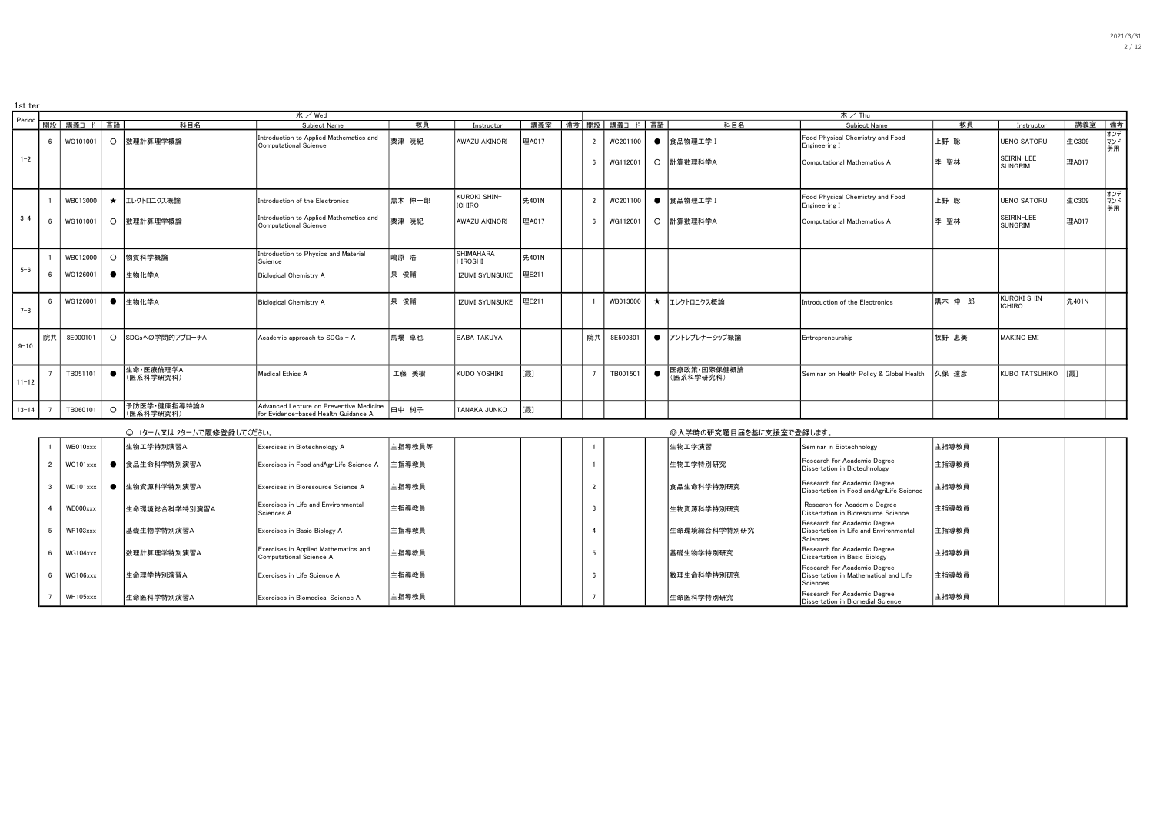| 1st ter   |    |             |           |                           |                                                                                 |        |                                    |       |    |                  |                          |                                                   |        |                               |        |                  |
|-----------|----|-------------|-----------|---------------------------|---------------------------------------------------------------------------------|--------|------------------------------------|-------|----|------------------|--------------------------|---------------------------------------------------|--------|-------------------------------|--------|------------------|
| Period    |    |             |           |                           | $K \times$ Wed                                                                  |        |                                    |       |    |                  |                          | 木 / Thu                                           |        |                               |        |                  |
|           |    | 開設 講義コード 言語 |           | 科目名                       | Subiect Name                                                                    | 教員     | Instructor                         | 講義室   |    | │備考│開設│ 講義コード│言語 | 科目名                      | Subject Name                                      | 教員     | Instructor                    | 講義室 備考 |                  |
|           |    | WG101001    |           | ○ 数理計算理学概論                | Introduction to Applied Mathematics and<br>Computational Science                | 粟津 暁紀  | AWAZU AKINORI                      | 理A017 |    | WC201100         | ● 食品物理工学 I               | Food Physical Chemistry and Food<br>Engineering I | 上野 聡   | UENO SATORU                   | 生C309  | オンデ<br>併用        |
| $1 - 2$   |    |             |           |                           |                                                                                 |        |                                    |       |    | WG112001         | ○ 計算数理科学A                | Computational Mathematics A                       | 李 聖林   | SEIRIN-LEE<br>SUNGRIM         | 理A017  |                  |
|           |    | WB013000    |           | ★ コレクトロニクス概論              | Introduction of the Electronics                                                 | 黒木 伸一郎 | kuroki shin-<br>ICHIRO             | 先401N |    | WC201100         | ● 食品物理工学 I               | Food Physical Chemistry and Food<br>Engineering I | 上野 聡   | UENO SATORU                   | 生C309  | オンデ<br>マンド<br>併用 |
| $3 - 4$   |    | WG101001    | $\circ$   | 数理計算理学概論                  | Introduction to Applied Mathematics and<br>Computational Science                | 粟津 暁紀  | <b>AWAZU AKINORI</b>               | 理A017 |    | WG112001         | ○ 計算数理科学A                | Computational Mathematics A                       | 李 聖林   | SEIRIN-LEE<br>SUNGRIM         | 理A017  |                  |
|           |    | WB012000    | $\circ$   | 物質科学概論                    | Introduction to Physics and Material<br>Science                                 | 嶋原 浩   | <b>SHIMAHARA</b><br><b>HIROSHI</b> | 先401N |    |                  |                          |                                                   |        |                               |        |                  |
| $5 - 6$   |    | WG126001    | $\bullet$ | 生物化学A                     | Biological Chemistry A                                                          | 泉 俊輔   | <b>IZUMI SYUNSUKE</b>              | 理E211 |    |                  |                          |                                                   |        |                               |        |                  |
| $7 - 8$   |    | WG126001    | $\bullet$ | 生物化学A                     | <b>Biological Chemistry A</b>                                                   | 泉 俊輔   | <b>IZUMI SYUNSUKE</b>              | 理E211 |    | WB013000         | ★ エレクトロニクス概論             | Introduction of the Electronics                   | 黒木 伸一郎 | <b>KUROKI SHIN-</b><br>ICHIRO | 先401N  |                  |
| $9 - 10$  | 院共 | 8E000101    |           | ○ SDGsへの学問的アプローチA         | Academic approach to SDGs - A                                                   | 馬場 卓也  | <b>BABA TAKUYA</b>                 |       | 院共 | 8E500801         | ● アントレプレナーシップ概論          | Entrepreneurship                                  | 牧野 恵美  | <b>MAKINO EMI</b>             |        |                  |
| $11 - 12$ |    | TB051101    |           | 生命·医療倫理学A<br>(医系科学研究科)    | Medical Ethics A                                                                | 工藤 美樹  | <b>KUDO YOSHIKI</b>                | [霞]   |    | TB001501         | 医療政策·国際保健概論<br>(医系科学研究科) | Seminar on Health Policy & Global Health          | 久保 達彦  | <b>KUBO TATSUHIKO</b>         | [霞]    |                  |
| $13 - 14$ |    | TB060101    | ∩         | 予防医学·健康指導特論A<br>(医系科学研究科) | Advanced Lecture on Preventive Medicine<br>for Evidence-based Health Guidance A | 田中 純子  | TANAKA JUNKO                       | [霞]   |    |                  |                          |                                                   |        |                               |        |                  |

|          | ◎ 1ターム又は 2タームで履修登録してください。 |                                                                 |        |  |  | ◎入学時の研究題目届を基に支援室で登録します。 |                                                                                           |       |  |  |
|----------|---------------------------|-----------------------------------------------------------------|--------|--|--|-------------------------|-------------------------------------------------------------------------------------------|-------|--|--|
| WB010xxx | 生物工学特別演習A                 | Exercises in Biotechnology A                                    | 主指導教員等 |  |  | 生物工学演習                  | Seminar in Biotechnology                                                                  | 主指導教員 |  |  |
| WC101xxx | 食品生命科学特別演習A               | Exercises in Food andAgriLife Science A                         | 主指導教員  |  |  | 生物工学特別研究                | Research for Academic Degree<br>Dissertation in Biotechnology                             | 主指導教員 |  |  |
| WD101xxx | 生物資源科学特別演習A               | Exercises in Bioresource Science A                              | 主指導教員  |  |  | 食品生命科学特別研究              | Research for Academic Degree<br>Dissertation in Food andAgriLife Science                  | 主指導教員 |  |  |
| WE000xxx | 生命環境総合科学特別演習A             | Exercises in Life and Environmental<br>Sciences A               | 主指導教員  |  |  | 生物資源科学特別研究              | Research for Academic Degree<br>Dissertation in Bioresource Science                       | 主指導教員 |  |  |
| WF103xxx | 基礎生物学特別演習A                | Exercises in Basic Biology A                                    | 主指導教員  |  |  | 生命環境総合科学特別研究            | Research for Academic Degree<br>Dissertation in Life and Environmental<br>Sciences        | 主指導教員 |  |  |
| WG104xxx | 数理計算理学特別演習A               | Exercises in Applied Mathematics and<br>Computational Science A | 主指導教員  |  |  | 基礎生物学特別研究               | Research for Academic Degree<br>Dissertation in Basic Biology                             | 主指導教員 |  |  |
| WG106xxx | 生命理学特別演習A                 | Exercises in Life Science A                                     | 主指導教員  |  |  | 数理生命科学特別研究              | Research for Academic Degree<br><b>IDissertation in Mathematical and Life</b><br>Sciences | 主指導教員 |  |  |
| WH105xxx | 生命医科学特別演習A                | Exercises in Biomedical Science A                               | 主指導教員  |  |  | 生命医科学特別研究               | Research for Academic Degree<br>Dissertation in Biomedial Science                         | 主指導教員 |  |  |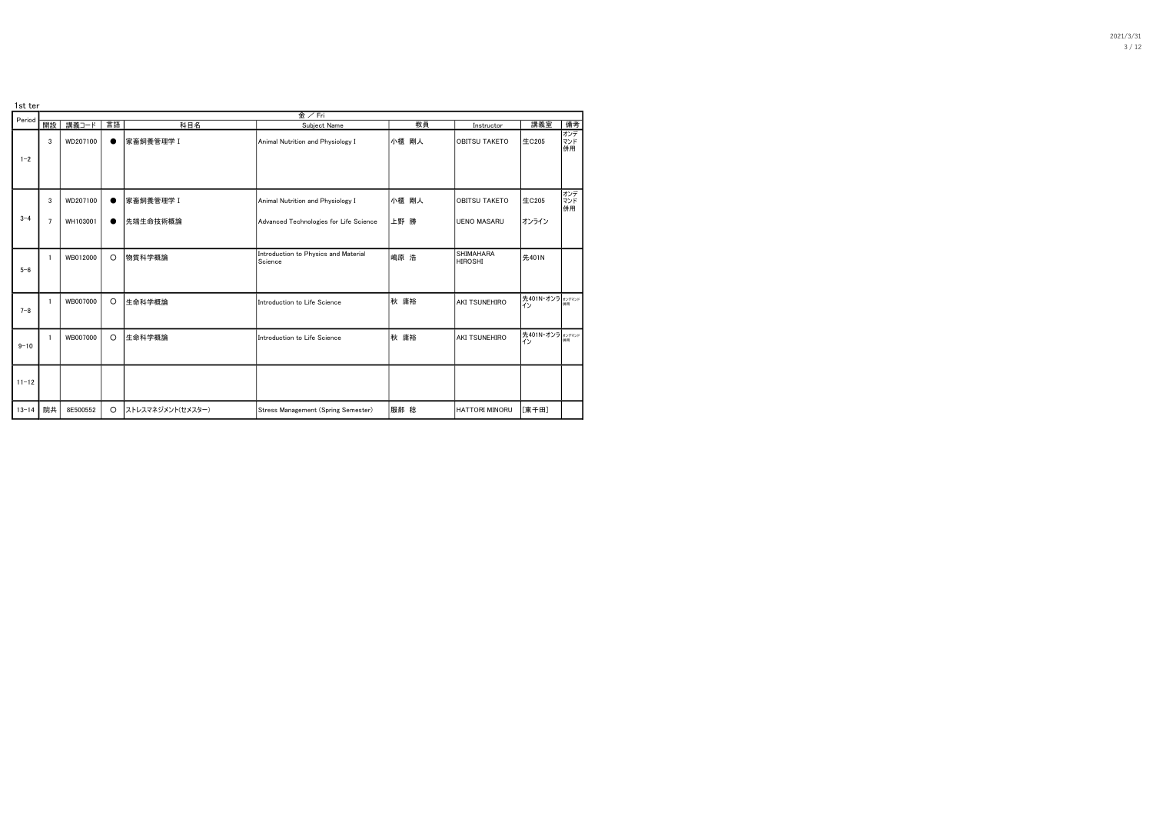| 1st ter   |                |          |           |                   | 金/Fri                                           |       |                                    |                        |                  |
|-----------|----------------|----------|-----------|-------------------|-------------------------------------------------|-------|------------------------------------|------------------------|------------------|
| Period    | 開設             | 講義コード    | 言語        | 科目名               | Subject Name                                    | 教員    | Instructor                         | 講義室                    | 備考               |
| $1 - 2$   | 3              | WD207100 |           | 家畜飼養管理学 I         | Animal Nutrition and Physiology I               | 小櫃 剛人 | <b>OBITSU TAKETO</b>               | 生C205                  | オンデ<br>マンド<br>併用 |
|           | 3              | WD207100 |           | 家畜飼養管理学 I         | Animal Nutrition and Physiology I               | 小櫃 剛人 | OBITSU TAKETO                      | 生C205                  | オンデ<br>マンド       |
| $3 - 4$   | $\overline{7}$ | WH103001 | $\bullet$ | 先端生命技術概論          | Advanced Technologies for Life Science          | 上野 勝  | <b>UENO MASARU</b>                 | オンライン                  | 併用               |
| $5 - 6$   |                | WB012000 | $\circ$   | 物質科学概論            | Introduction to Physics and Material<br>Science | 嶋原 浩  | <b>SHIMAHARA</b><br><b>HIROSHI</b> | 先401N                  |                  |
| $7 - 8$   |                | WB007000 | $\circ$   | 生命科学概論            | Introduction to Life Science                    | 秋 庸裕  | <b>AKI TSUNEHIRO</b>               | 先401N·オンラ オンデマンド<br>イン |                  |
| $9 - 10$  |                | WB007000 | $\circ$   | 生命科学概論            | Introduction to Life Science                    | 秋 庸裕  | <b>AKI TSUNEHIRO</b>               | 先401N·オンラ オンデマンド<br>イン | 伴用               |
| $11 - 12$ |                |          |           |                   |                                                 |       |                                    |                        |                  |
| $13 - 14$ | 院共             | 8E500552 | $\circ$   | ストレスマネジメント(セメスター) | Stress Management (Spring Semester)             | 服部 稔  | HATTORI MINORU                     | [東千田]                  |                  |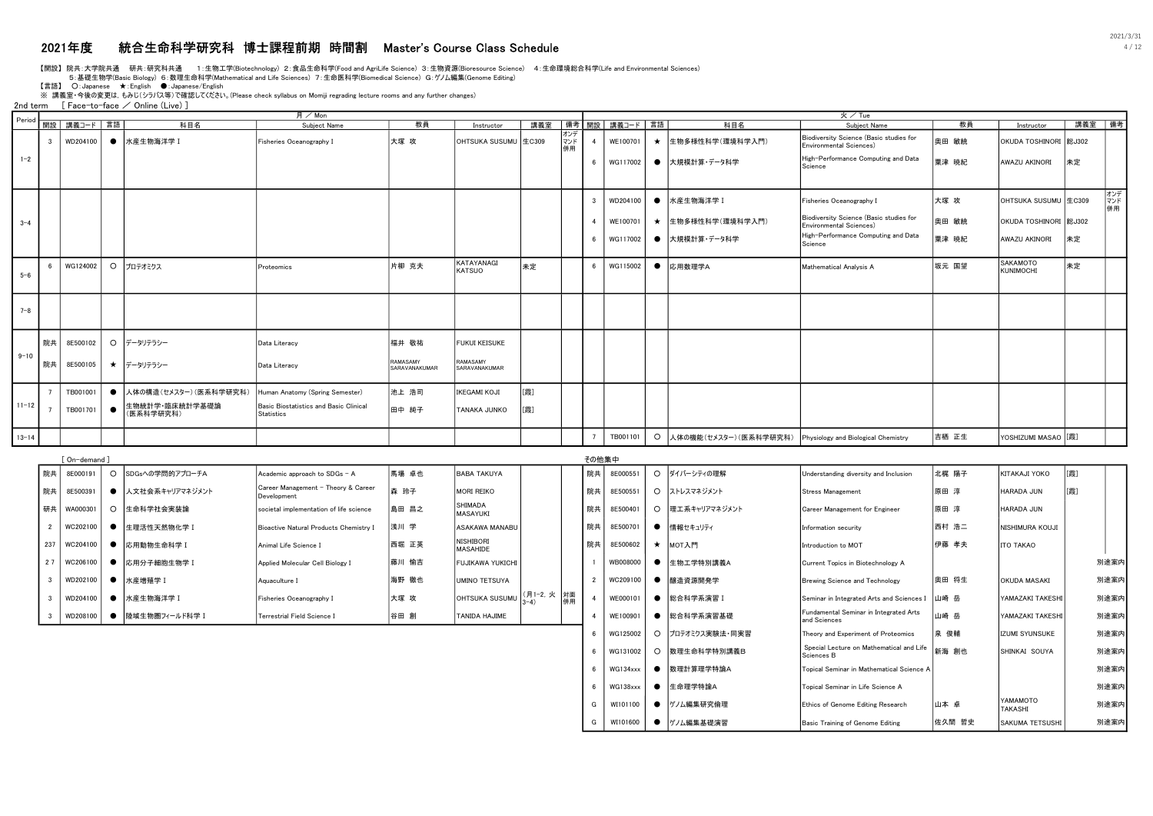### 2021年度 統合生命科学研究科 博士課程前期 時間割 Master's Course Class Schedule 4 / 12

【開設】 院共:大学院共通 研共:研究科共通 1:生物工学(Biotechnology) 2:食品生命科学(Food and AgriLife Science) 3:生物資源(Bioresource Science) 4:生命環境総合科学(Life and Environmental Sciences)

5:基礎生物学(Basic Biology) 6:数理生命科学(Mathematical and Life Sciences) 7:生命医科学(Biomedical Science) G:ゲノム編集(Genome Editing)

【言語】 ○:Japanese ★:English ●:Japanese/English

。<br>※ 講義室・今後の変更は, もみじ(シラバス等)で確認してください。(Please check syllabus on Momiji regrading lecture rooms and any further changes)

2nd term  $[$  Face-to-face  $\angle$  Online (Live) ]

|           |                         |                          |           |                                                          | 月/Mon                                                |                           |                             |     |                  |                         |                 |         |                                                            | 火/Tue                                                              |       |                              |        |                  |
|-----------|-------------------------|--------------------------|-----------|----------------------------------------------------------|------------------------------------------------------|---------------------------|-----------------------------|-----|------------------|-------------------------|-----------------|---------|------------------------------------------------------------|--------------------------------------------------------------------|-------|------------------------------|--------|------------------|
|           |                         | Period   開設   講義コード   言語 |           | 科目名                                                      | Subject Name                                         | 教員                        | Instructor                  | 講義室 |                  |                         | ■備考┃開設┃講義コード┃言語 |         | 科目名                                                        | Subiect Name                                                       | 教員    | Instructor                   | 講義室 備考 |                  |
|           | $\overline{\mathbf{3}}$ | WD204100                 |           | ● 水産生物海洋学 I                                              | Fisheries Oceanography I                             | 大塚 攻                      | OHTSUKA SUSUMU 生C309        |     | オンデ<br>マンド<br>併用 | $\overline{a}$          | WE100701        |         | ★ 生物多様性科学(環境科学入門)                                          | Biodiversity Science (Basic studies for<br>Environmental Sciences) | 奥田 敏統 | OKUDA TOSHINORI 総J302        |        |                  |
| $1 - 2$   |                         |                          |           |                                                          |                                                      |                           |                             |     |                  | 6                       | WG117002        |         | ● 大規模計算・データ科学                                              | High-Performance Computing and Data<br>Science                     | 粟津 暁紀 | AWAZU AKINORI                | 未定     |                  |
|           |                         |                          |           |                                                          |                                                      |                           |                             |     |                  | $\overline{\mathbf{3}}$ | WD204100        |         | ● 水産生物海洋学 I                                                | Fisheries Oceanography I                                           | 大塚 攻  | OHTSUKA SUSUMU 生C309         |        | オンデ<br>マンド<br>併用 |
| $3 - 4$   |                         |                          |           |                                                          |                                                      |                           |                             |     |                  |                         | WE100701        |         | ★  生物多様性科学(環境科学入門)                                         | Biodiversity Science (Basic studies for<br>Environmental Sciences) | 奥田 敏統 | OKUDA TOSHINORI 総J302        |        |                  |
|           |                         |                          |           |                                                          |                                                      |                           |                             |     |                  | 6                       | WG117002        |         | ● 大規模計算・データ科学                                              | High-Performance Computing and Data<br>Science                     | 粟津 暁紀 | AWAZU AKINORI                | 未定     |                  |
| $5 - 6$   | <b>6</b>                | WG124002                 | $\circ$   | プロテオミクス                                                  | Proteomics                                           | 片柳 克夫                     | KATAYANAGI<br><b>KATSUO</b> | 未定  |                  | $6\overline{6}$         | WG115002        |         | ● 応用数理学A                                                   | Mathematical Analysis A                                            | 坂元 国望 | SAKAMOTO<br><b>KUNIMOCHI</b> | 未定     |                  |
| $7 - 8$   |                         |                          |           |                                                          |                                                      |                           |                             |     |                  |                         |                 |         |                                                            |                                                                    |       |                              |        |                  |
|           | 院共                      | 8E500102                 |           | ○ データリテラシー                                               | Data Literacy                                        | 福井 敬祐                     | <b>FUKUI KEISUKE</b>        |     |                  |                         |                 |         |                                                            |                                                                    |       |                              |        |                  |
| $9 - 10$  | 院共                      | 8E500105                 |           | ★ データリテラシー                                               | Data Literacy                                        | RAMASAMY<br>SARAVANAKUMAR | RAMASAMY<br>SARAVANAKUMAR   |     |                  |                         |                 |         |                                                            |                                                                    |       |                              |        |                  |
|           |                         | TB001001                 |           | ● 人体の構造(セメスター) (医系科学研究科) Human Anatomy (Spring Semester) |                                                      | 池上 浩司                     | IKEGAMI KOJI                | [需] |                  |                         |                 |         |                                                            |                                                                    |       |                              |        |                  |
| $11 - 12$ | $\overline{7}$          | TB001701                 | $\bullet$ | 生物統計学·臨床統計学基礎論<br>(医系科学研究科)                              | Basic Biostatistics and Basic Clinical<br>Statistics | 田中 純子                     | TANAKA JUNKO                | [霞] |                  |                         |                 |         |                                                            |                                                                    |       |                              |        |                  |
| $13 - 14$ |                         |                          |           |                                                          |                                                      |                           |                             |     |                  |                         | TB001101        | $\circ$ | 人体の機能(セメスター) (医系科学研究科) Physiology and Biological Chemistry |                                                                    | 吉栖 正生 | YOSHIZUMI MASAO [[霞]         |        |                  |

|                      | ∫ On-demand <sup>1</sup> |         |                 |                                                    |       |                                     |              | その他集中 |          |               |                                                        |       |                     |     |      |
|----------------------|--------------------------|---------|-----------------|----------------------------------------------------|-------|-------------------------------------|--------------|-------|----------|---------------|--------------------------------------------------------|-------|---------------------|-----|------|
| 院共                   | 8E000191                 | $\circ$ | SDGsへの学問的アプローチA | Academic approach to SDGs - A                      | 馬場 卓也 | <b>BABA TAKUYA</b>                  |              | 院共    | 8E000551 | ○ ダイバーシティの理解  | Understanding diversity and Inclusion                  | 北梶 陽子 | KITAKAJI YOKO       | [霞] |      |
| 院共                   | 8E500391                 |         | 人文社会系キャリアマネジメント | Career Management - Theory & Career<br>Development | 森 玲子  | <b>MORI REIKO</b>                   |              | 院共    | 8E500551 | ○ ストレスマネジメント  | Stress Management                                      | 原田 淳  | HARADA JUN          | [霞] |      |
| 研共                   | WA000301                 |         | 生命科学社会実装論       | societal implementation of life science            | 島田 昌之 | SHIMADA<br>MASAYUKI                 |              | 院共    | 8E500401 | 理工系キャリアマネジメント | Career Management for Engineer                         | 原田 淳  | HARADA JUN          |     |      |
| 2                    | WC202100                 |         | 生理活性天然物化学 I     | Bioactive Natural Products Chemistry I             | 浅川 学  | ASAKAWA MANABU                      |              | 院共    | 8E50070  | ● 情報セキュリティ    | Information security                                   | 西村 浩二 | NISHIMURA KOUJI     |     |      |
| 237                  | WC204100                 |         | 応用動物生命科学 I      | Animal Life Science I                              | 西堀 正英 | <b>NISHIBORI</b><br><b>MASAHIDE</b> |              | 院共    | 8E500602 | MOT入門         | Introduction to MOT                                    | 伊藤 孝夫 | <b>ITO TAKAO</b>    |     |      |
| 27                   | WC206100                 |         | 応用分子細胞生物学 I     | Applied Molecular Cell Biology I                   | 藤川 愉吉 | IFUJIKAWA YUKICHI                   |              |       | WB008000 | ● 生物工学特別講義A   | Current Topics in Biotechnology A                      |       |                     |     | 別途案内 |
| $\mathbf{3}$         | WD202100                 |         | 水産増殖学 I         | Aquaculture 1                                      | 海野 徹也 | UMINO TETSUYA                       |              |       | WC209100 | ● 醸造資源開発学     | Brewing Science and Technology                         | 奥田 将生 | <b>OKUDA MASAKI</b> |     | 別途案内 |
| $\cdot$ <sub>3</sub> | WD204100                 |         | ● 水産生物海洋学 I     | Fisheries Oceanography I                           | 大塚 攻  | OHTSUKA SUSUMU                      | (月1-2,火   対面 |       | WE000101 | ● 総合科学系演習 I   | Seminar in Integrated Arts and Sciences I              | 山崎 岳  | YAMAZAKI TAKESHI    |     | 別途案内 |
|                      | WD208100                 |         | 陸域生物圏フィールド科学 I  | Terrestrial Field Science I                        | 谷田 創  | <b>TANIDA HAJIME</b>                |              |       | WE100901 | 総合科学系演習基礎     | Fundamental Seminar in Integrated Arts<br>and Sciences | 山崎 岳  | YAMAZAKI TAKESHI    |     | 別途案内 |

6 WG125002 〇 フロテオミクス実験法・同実習 Theory and Experiment of Proteomics 泉 俊輔 IZUMI SYUNSUKE 別途案内

6 NG134xxx ● 数理計算理学特論A インタン Topical Seminar in Mathematical Science A ヌンタン および 別途案内 別途案内 6 WG138xxx ● 生命理学特論A Topical Seminar in Life Science A 別途案内

G WI101600 ● ゲノム編集基礎演習 Basic Training of Genome Editing 佐久間 哲史 SAKUMA TETSUSHI 別途案内

G WI101100 ● ゲノム編集研究倫理 Ethics of Genome Editing Research 山本 卓 YAMAMOTO

新海 創也 | SHINKAI SOUYA | 別途案内

|YAMAMOTO | 別途案内<br>|TAKASHI

6 | WG131002 | O | 数理生命科学特別講義B Special Lecture on Mathematical and Life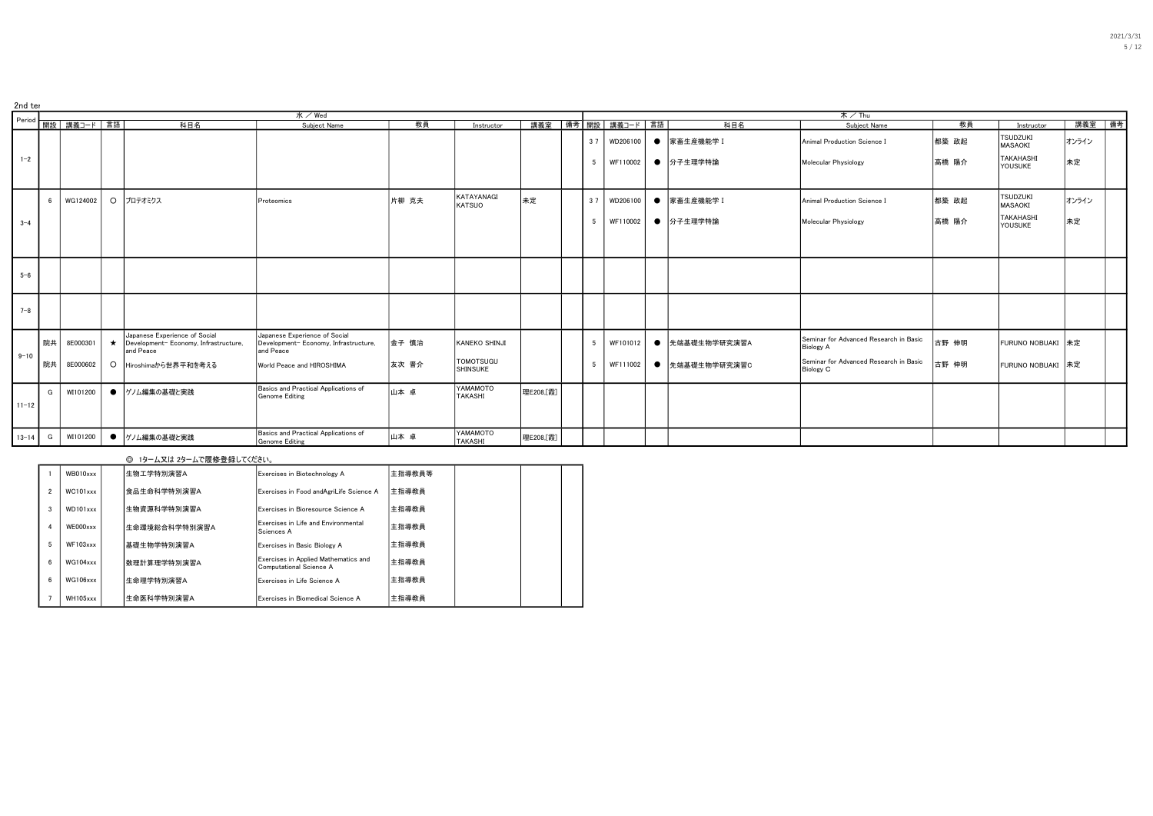| 2nd ter   |            |                          |                                                                                    |                                                                                     |       |                                     |           |     |                            |                |                                                            |       |                                   |        |  |
|-----------|------------|--------------------------|------------------------------------------------------------------------------------|-------------------------------------------------------------------------------------|-------|-------------------------------------|-----------|-----|----------------------------|----------------|------------------------------------------------------------|-------|-----------------------------------|--------|--|
|           |            |                          |                                                                                    | $K$ / Wed                                                                           |       |                                     |           |     |                            |                | $\overline{x}$ / Thu                                       |       |                                   |        |  |
|           |            | Period   開設   講義コード   言語 | 科目名                                                                                | Subject Name                                                                        | 教員    | Instructor                          |           |     | 講義室   備考   開設   講義コード   言語 | 科目名            | Subject Name                                               | 教員    | Instructor                        | 講義室 備考 |  |
|           |            |                          |                                                                                    |                                                                                     |       |                                     |           |     | 3 7   WD206100             | ● 家畜生産機能学 I    | Animal Production Science I                                | 都築 政起 | <b>TSUDZUKI</b><br><b>MASAOKI</b> | オンライン  |  |
| $1 - 2$   |            |                          |                                                                                    |                                                                                     |       |                                     |           | -5  | WF110002                   | ● 分子生理学特論      | Molecular Physiology                                       | 高橋 陽介 | <b>TAKAHASHI</b><br>YOUSUKE       | 未定     |  |
|           | $\epsilon$ | WG124002                 | ○ プロテオミクス                                                                          | Proteomics                                                                          | 片柳 克夫 | KATAYANAGI<br><b>KATSUO</b>         | 未定        | 37  | WD206100                   | ● 家畜生産機能学 I    | Animal Production Science I                                | 都築 政起 | <b>TSUDZUKI</b><br><b>MASAOKI</b> | オンライン  |  |
| $3 - 4$   |            |                          |                                                                                    |                                                                                     |       |                                     |           | - 5 | WF110002                   | ● 分子生理学特論      | Molecular Physiology                                       | 高橋 陽介 | <b>TAKAHASHI</b><br>YOUSUKE       | 未定     |  |
|           |            |                          |                                                                                    |                                                                                     |       |                                     |           |     |                            |                |                                                            |       |                                   |        |  |
| $5 - 6$   |            |                          |                                                                                    |                                                                                     |       |                                     |           |     |                            |                |                                                            |       |                                   |        |  |
| $7 - 8$   |            |                          |                                                                                    |                                                                                     |       |                                     |           |     |                            |                |                                                            |       |                                   |        |  |
|           | 院共         | 8E000301                 | Japanese Experience of Social<br>Development-Economy, Infrastructure,<br>and Peace | Japanese Experience of Social<br>Development- Economy, Infrastructure,<br>and Peace | 金子 慎治 | KANEKO SHINJI                       |           | - 5 | WF101012                   | ● 先端基礎生物学研究演習A | Seminar for Advanced Research in Basic<br><b>Biology A</b> | 古野 伸明 | FURUNO NOBUAKI 未定                 |        |  |
| $9 - 10$  | 院共         | 8E000602                 | ○ Hiroshimaから世界平和を考える                                                              | World Peace and HIROSHIMA                                                           | 友次 晋介 | <b>TOMOTSUGU</b><br><b>SHINSUKE</b> |           | -5  | WF111002                   | ● 先端基礎生物学研究演習C | Seminar for Advanced Research in Basic<br><b>Biology C</b> | 古野 伸明 | FURUNO NOBUAKI 未定                 |        |  |
| $11 - 12$ | G          | WI101200                 | ● ゲノム編集の基礎と実践                                                                      | Basics and Practical Applications of<br>Genome Editing                              | 山本 卓  | YAMAMOTO<br><b>TAKASHI</b>          | 理E208.[霞] |     |                            |                |                                                            |       |                                   |        |  |
| $13-14$ G |            | WI101200                 | ● ゲノム編集の基礎と実践                                                                      | Basics and Practical Applications of<br>Genome Editing                              | 山本 卓  | YAMAMOTO<br>TAKASHI                 | 理E208.[霞] |     |                            |                |                                                            |       |                                   |        |  |

|                |               | ◎ 1ターム又は 2タームで履修登録してください。 |                                                                 |        |  |  |
|----------------|---------------|---------------------------|-----------------------------------------------------------------|--------|--|--|
|                | WB010xxx      | 生物工学特別演習A                 | Exercises in Biotechnology A                                    | 主指導教員等 |  |  |
| $\overline{2}$ | $WC101$ xxx   | 食品生命科学特別演習A               | Exercises in Food andAgriLife Science A                         | 主指導教員  |  |  |
| 3              | WD101xxx      | 生物資源科学特別演習A               | Exercises in Bioresource Science A                              | 主指導教員  |  |  |
| 4              | WE000xxx      | 生命環境総合科学特別演習A             | Exercises in Life and Environmental<br>Sciences A               | 主指導教員  |  |  |
| 5              | $WF103$ xxx   | 基礎生物学特別演習A                | Exercises in Basic Biology A                                    | 主指導教員  |  |  |
| 6              | $WG104$ x x x | 数理計算理学特別演習A               | Exercises in Applied Mathematics and<br>Computational Science A | 主指導教員  |  |  |
| 6              | WG106xxx      | 生命理学特別演習A                 | Exercises in Life Science A                                     | 主指導教員  |  |  |
|                | WH105xxx      | 生命医科学特別演習A                | Exercises in Biomedical Science A                               | 主指導教員  |  |  |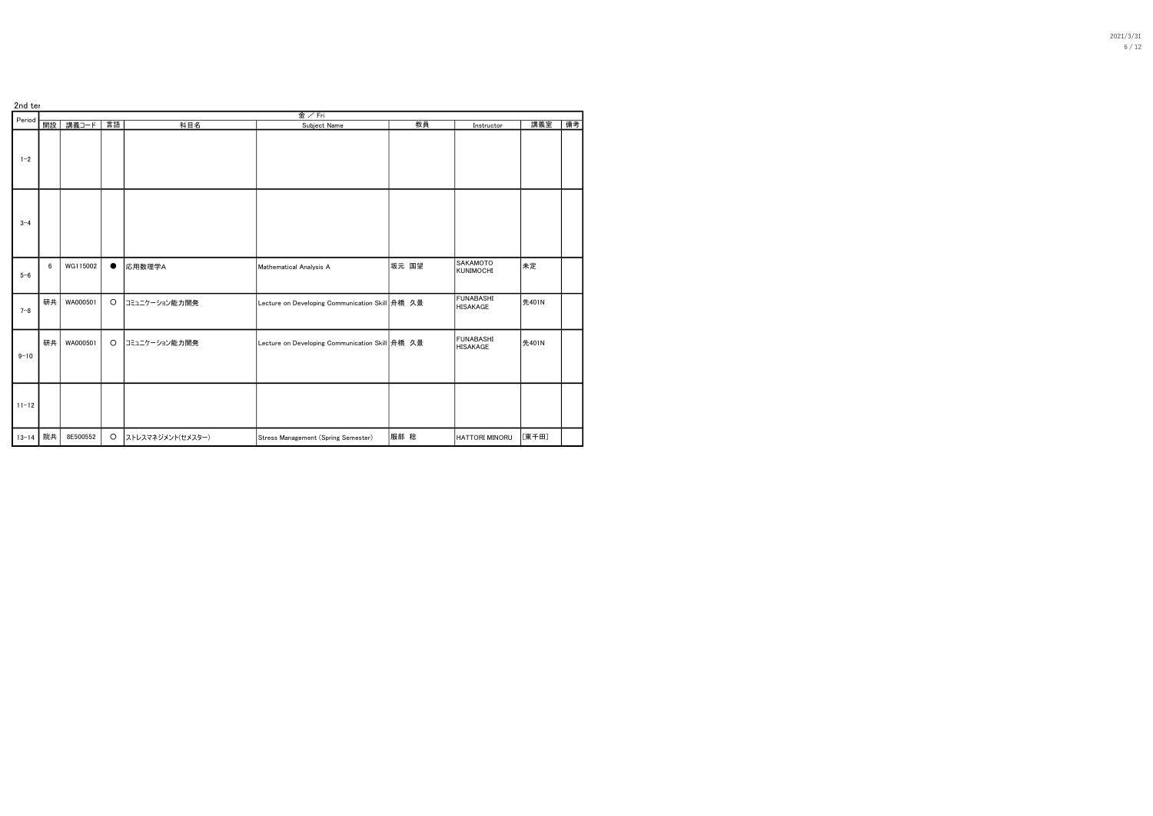| 2nd ter   |    |          |         |                   | 金/Fri                                             |       |                                     |       |    |
|-----------|----|----------|---------|-------------------|---------------------------------------------------|-------|-------------------------------------|-------|----|
| Period    | 開設 | 講義コード    | 言語      | 科目名               | Subject Name                                      | 教員    | Instructor                          | 講義室   | 備考 |
| $1 - 2$   |    |          |         |                   |                                                   |       |                                     |       |    |
| $3 - 4$   |    |          |         |                   |                                                   |       |                                     |       |    |
| $5 - 6$   | 6  | WG115002 |         | 応用数理学A            | Mathematical Analysis A                           | 坂元 国望 | <b>SAKAMOTO</b><br><b>KUNIMOCHI</b> | 未定    |    |
| $7 - 8$   | 研共 | WA000501 | $\circ$ | コミュニケーション能力開発     | Lecture on Developing Communication Skill 舟橋 久景   |       | <b>FUNABASHI</b><br>HISAKAGE        | 先401N |    |
| $9 - 10$  | 研共 | WA000501 | $\circ$ | コミュニケーション能力開発     | Lecture on Developing Communication Skill   舟橋 久景 |       | FUNABASHI<br>HISAKAGE               | 先401N |    |
| $11 - 12$ |    |          |         |                   |                                                   |       |                                     |       |    |
| $13 - 14$ | 院共 | 8E500552 | $\circ$ | ストレスマネジメント(セメスター) | Stress Management (Spring Semester)               | 服部 稔  | HATTORI MINORU                      | [東千田] |    |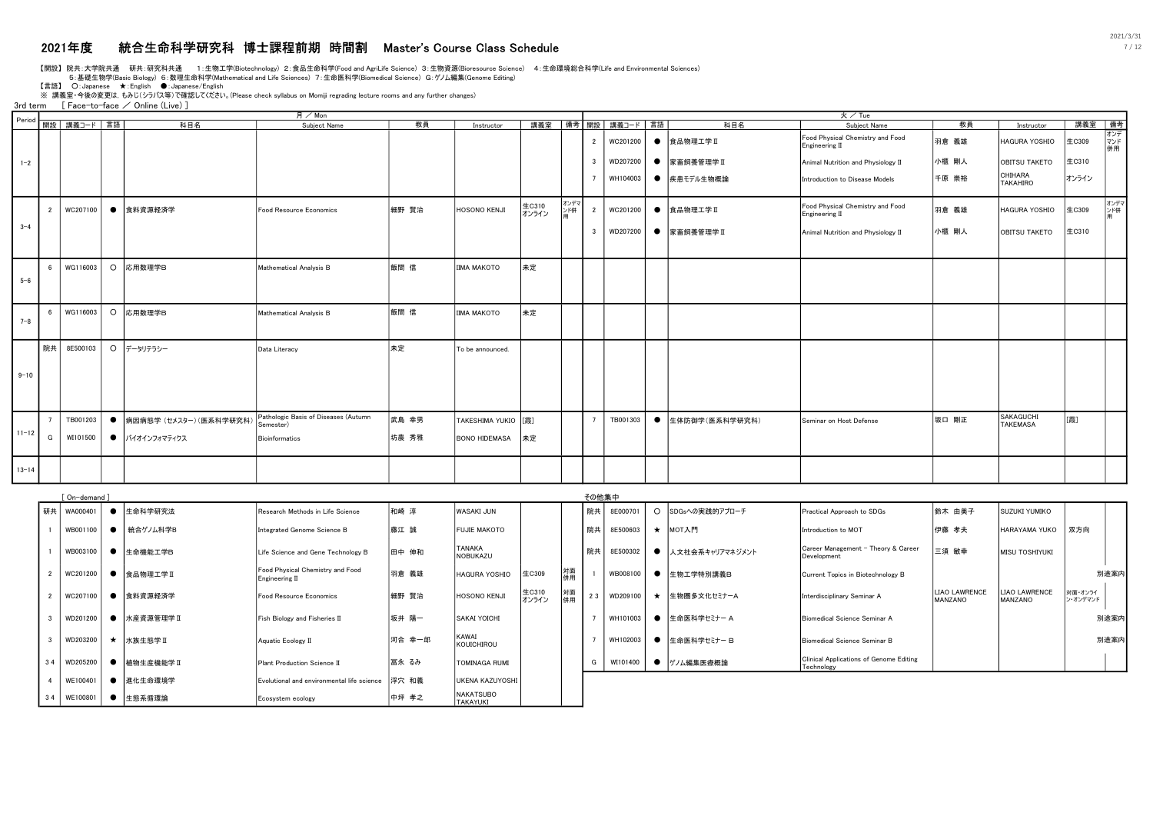# 2021年度 統合生命科学研究科 博士課程前期 時間割 Master's Course Class Schedule 7 / 12

【開設】 院共:大学院共通 研共:研究科共通 1:生物工学(Biotechnology) 2:食品生命科学(Food and AgriLife Science) 3:生物資源(Bioresource Science) 4:生命環境総合科学(Life and Environmental Sciences)

5:基礎生物学(Basic Biology) 6:数理生命科学(Mathematical and Life Sciences) 7:生命医科学(Biomedical Science) G:ゲノム編集(Genome Editing)

【言語】 ○: Japanese ★: English ●: Japanese/English<br>※ 講義室 •今後の変更は, もみじ(シラバス等)で確認してください。(Please check syllabus on Momiji regrading lecture rooms and any further changes)

3rd term [ Face-to-face / Online (Live) ]

|           |                |                          |                           | 月/Mon                                             |       |                      |                |             |                         |             |           |                  | 火/Tue                                              |        |                              |        |                  |
|-----------|----------------|--------------------------|---------------------------|---------------------------------------------------|-------|----------------------|----------------|-------------|-------------------------|-------------|-----------|------------------|----------------------------------------------------|--------|------------------------------|--------|------------------|
|           |                | Period   開設   講義コード   言語 | 科目名                       | Subject Name                                      | 教員    | Instructor           | 講義室            |             |                         | 備考 開設 講義コード | 言語        | 科目名              | Subject Name                                       | 教員     | Instructor                   | 講義室 備考 |                  |
|           |                |                          |                           |                                                   |       |                      |                |             | $\overline{2}$          | WC201200    |           | ● 食品物理工学Ⅱ        | Food Physical Chemistry and Food<br>Engineering II | 羽倉 義雄  | HAGURA YOSHIO                | 生C309  | オンデ<br>マンド<br>併用 |
| $1 - 2$   |                |                          |                           |                                                   |       |                      |                |             | $\mathbf{3}$            | WD207200    |           | ● 家畜飼養管理学Ⅱ       | Animal Nutrition and Physiology II                 | 小櫃 剛人  | <b>OBITSU TAKETO</b>         | 生C310  |                  |
|           |                |                          |                           |                                                   |       |                      |                |             |                         | WH104003    |           | ● 疾患モデル生物概論      | Introduction to Disease Models                     | 千原 崇裕  | CHIHARA<br><b>TAKAHIRO</b>   | オンライン  |                  |
|           | $\overline{2}$ | WC207100                 | ● 食料資源経済学                 | Food Resource Economics                           | 細野 賢治 | <b>HOSONO KENJI</b>  | 生C310<br>オンライン | オンデマ<br>ンド併 | $\overline{2}$          | WC201200    |           | ● 食品物理工学Ⅱ        | Food Physical Chemistry and Food<br>Engineering II | 羽倉 義雄  | HAGURA YOSHIO                | 生C309  | オンデマ<br>ンド併      |
| $3 - 4$   |                |                          |                           |                                                   |       |                      |                |             | $\overline{\mathbf{3}}$ | WD207200    |           | ● 家畜飼養管理学Ⅱ       | Animal Nutrition and Physiology II                 | 小櫃 剛人  | <b>OBITSU TAKETO</b>         | 生C310  |                  |
|           | <b>6</b>       | WG116003                 | O 応用数理学B                  | Mathematical Analysis B                           | 飯間信   | ШМА МАКОТО           | 未定             |             |                         |             |           |                  |                                                    |        |                              |        |                  |
| $5 - 6$   |                |                          |                           |                                                   |       |                      |                |             |                         |             |           |                  |                                                    |        |                              |        |                  |
|           |                | WG116003                 | O 応用数理学B                  | Mathematical Analysis B                           | 飯間信   | <b>IIMA MAKOTO</b>   | 未定             |             |                         |             |           |                  |                                                    |        |                              |        |                  |
| $7 - 8$   |                |                          |                           |                                                   |       |                      |                |             |                         |             |           |                  |                                                    |        |                              |        |                  |
|           | 院共             | 8E500103                 | ○ データリテラシー                | Data Literacy                                     | 未定    | To be announced.     |                |             |                         |             |           |                  |                                                    |        |                              |        |                  |
| $9 - 10$  |                |                          |                           |                                                   |       |                      |                |             |                         |             |           |                  |                                                    |        |                              |        |                  |
|           |                |                          |                           |                                                   |       |                      |                |             |                         |             |           |                  |                                                    |        |                              |        |                  |
|           |                | TB001203                 | ● 病因病態学 (セメスター) (医系科学研究科) | Pathologic Basis of Diseases (Autumn<br>Semester) | 武島 幸男 | TAKESHIMA YUKIO [[霞] |                |             |                         | TB001303    | $\bullet$ | 生体防御学(医系科学研究科)   | Seminar on Host Defense                            | 坂口 剛正  | SAKAGUCHI<br><b>TAKEMASA</b> | [霞]    |                  |
| $11 - 12$ | G              | WI101500                 | ● バイオインフォマティクス            | <b>Bioinformatics</b>                             | 坊農 秀雅 | <b>BONO HIDEMASA</b> | 未定             |             |                         |             |           |                  |                                                    |        |                              |        |                  |
| $13 - 14$ |                |                          |                           |                                                   |       |                      |                |             |                         |             |           |                  |                                                    |        |                              |        |                  |
|           |                | [On-demand]              |                           |                                                   |       |                      |                |             | その他集中                   |             |           |                  |                                                    |        |                              |        |                  |
|           | 研共             | WA000401                 | ● 生命科学研究法                 | Research Methods in Life Science                  | 和崎 淳  | <b>WASAKI JUN</b>    |                |             | 院共                      | 8E000701    |           | O SDGsへの実践的アプローチ | Practical Approach to SDGs                         | 鈴木 由美子 | <b>SUZUKI YUMIKO</b>         |        |                  |
|           | $\overline{1}$ |                          | WB001100   ● 協合ゲノム科学B     | Integrated Genome Science B                       | 藤江 誠  | <b>FUJIE MAKOTO</b>  |                |             |                         | 院共 8E500603 |           | ★ МОТА門          | Introduction to MOT                                | 伊藤 孝夫  | НАRАҮАМА YUKO │双方向           |        |                  |

| 研共 | WA000401 |           | 生命科学研究法    | Research Methods in Life Science                   | 和崎 淳   | WASAKI JUN                   |                |          | 院共 | 8E000701 | $\circ$ | SDGsへの実践的アプローチ    | Practical Approach to SDGs                            | 鈴木 由美子                          | ISUZUKI YUMIKO                  |                     |      |
|----|----------|-----------|------------|----------------------------------------------------|--------|------------------------------|----------------|----------|----|----------|---------|-------------------|-------------------------------------------------------|---------------------------------|---------------------------------|---------------------|------|
|    | WB001100 | $\bullet$ | 統合ゲノム科学B   | Integrated Genome Science B                        | 藤江 誠   | <b>FUJIE MAKOTO</b>          |                |          | 院共 | 8E500603 | $\star$ | MOT入門             | Introduction to MOT                                   | 伊藤 孝夫                           | HARAYAMA YUKO                   | 双方向                 |      |
|    | WB003100 |           | ● 生命機能工学B  | Life Science and Gene Technology B                 | 田中 伸和  | TANAKA<br><b>NOBUKAZU</b>    |                |          | 院共 | 8E500302 |         | ● 人文社会系キャリアマネジメント | Career Management - Theory & Career<br>Development    | 三須 敏幸                           | <b>MISU TOSHIYUKI</b>           |                     |      |
|    | WC201200 |           | 食品物理工学Ⅱ    | Food Physical Chemistry and Food<br>Engineering II | 羽倉 義雄  | <b>HAGURA YOSHIO</b>         | 生C309          | 対面<br>併用 |    | WB008100 |         | ● 生物工学特別講義B       | Current Topics in Biotechnology B                     |                                 |                                 |                     | 別途案内 |
|    | WC207100 |           | 食料資源経済学    | Food Resource Economics                            | 細野 賢治  | <b>HOSONO KENJI</b>          | 生C310<br>オンライン | 対面<br>併用 | 23 | WD209100 |         | ★ 生物圏多文化セミナーA     | Interdisciplinary Seminar A                           | <b>LIAO LAWRENCE</b><br>MANZANO | <b>LIAO LAWRENCE</b><br>MANZANO | 対面・オンライ<br>ン・オンデマンド |      |
|    | WD201200 |           | ● 水産資源管理学Ⅱ | <b>Fish Biology and Fisheries II</b>               | 坂井 陽一  | <b>SAKAI YOICHI</b>          |                |          |    | WH101003 |         | 生命医科学セミナー A       | Biomedical Science Seminar A                          |                                 |                                 |                     | 別途案内 |
|    | WD203200 |           | ★ 水族生態学Ⅱ   | Aquatic Ecology II                                 | 河合 幸一郎 | <b>KAWAI</b><br>KOUICHIROU   |                |          |    | WH102003 |         | 生命医科学セミナー B       | Biomedical Science Seminar B                          |                                 |                                 |                     | 別途案内 |
| 34 | WD205200 |           | 植物生産機能学II  | Plant Production Science II                        | 冨永 るみ  | TOMINAGA RUMI                |                |          | G  | WI101400 |         | ゲノム編集医療概論         | Clinical Applications of Genome Editing<br>Technology |                                 |                                 |                     |      |
|    | WE100401 |           | ● 進化生命環境学  | Evolutional and environmental life science         | 浮穴 和義  | <b>UKENA KAZUYOSHI</b>       |                |          |    |          |         |                   |                                                       |                                 |                                 |                     |      |
| 34 | WE100801 |           | 生態系循環論     | Ecosystem ecology                                  | 中坪 孝之  | <b>NAKATSUBO</b><br>TAKAYUKI |                |          |    |          |         |                   |                                                       |                                 |                                 |                     |      |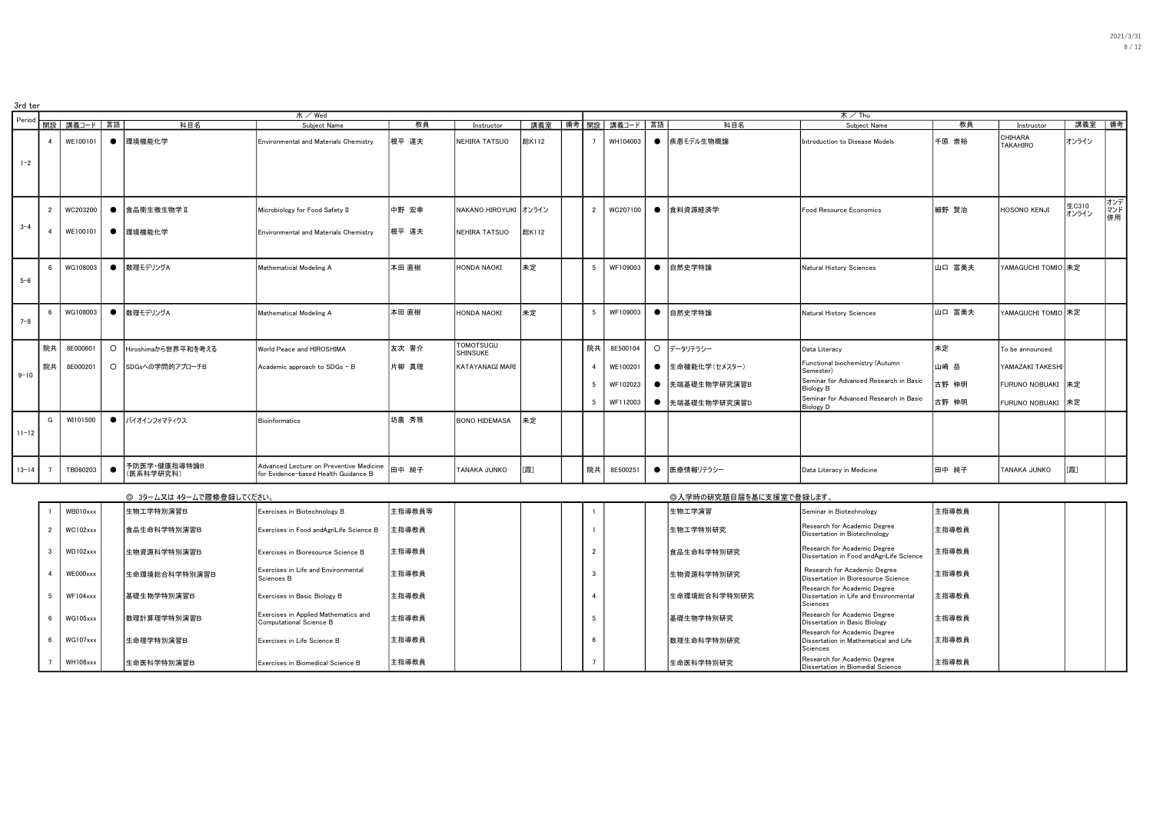| 2021/3/31 |
|-----------|
| 8/12      |
|           |
|           |

| 3rd ter   |                  |                 |           |                           |                                                                                 |        |                       |       |                 |                   |           |                        |                                                                                               |        |                            |                |                  |
|-----------|------------------|-----------------|-----------|---------------------------|---------------------------------------------------------------------------------|--------|-----------------------|-------|-----------------|-------------------|-----------|------------------------|-----------------------------------------------------------------------------------------------|--------|----------------------------|----------------|------------------|
| Period    |                  |                 |           |                           | 水/Wed                                                                           |        |                       |       |                 |                   |           |                        | 木/Thu                                                                                         |        |                            |                |                  |
|           |                  | 開設   講義コード   言語 |           | 科目名                       | Subject Name                                                                    | 教員     | Instructor            | 講義室   |                 | │備考┃開設│ 講義コード│言語│ |           | 科目名                    | Subject Name                                                                                  | 教員     | Instructor                 | 講義室  備考        |                  |
|           | $\overline{4}$   | WE100101        | $\bullet$ | 環境機能化学                    | Environmental and Materials Chemistry                                           | 根平 達夫  | NEHIRA TATSUO         | 総K112 | $\overline{7}$  | WH104003          | $\bullet$ | 疾患モデル生物概論              | Introduction to Disease Models                                                                | 千原 崇裕  | CHIHARA<br><b>TAKAHIRO</b> | オンライン          |                  |
| $1 - 2$   |                  |                 |           |                           |                                                                                 |        |                       |       |                 |                   |           |                        |                                                                                               |        |                            |                |                  |
|           | $\overline{2}$   | WC203200        | $\bullet$ | 食品衛生微生物学 II               | Microbiology for Food Safety II                                                 | 中野 宏幸  | NAKANO HIROYUKI オンライン |       | 2               | WC207100          | $\bullet$ | 食料資源経済学                | Food Resource Economics                                                                       | 細野 賢治  | <b>HOSONO KENJI</b>        | 生C310<br>オンライン | オンデ<br>マンド<br>併用 |
| $3 - 4$   | $\mathbf{A}$     | WE100101        |           | ● 環境機能化学                  | Environmental and Materials Chemistry                                           | 根平 達夫  | NEHIRA TATSUO         | 総K112 |                 |                   |           |                        |                                                                                               |        |                            |                |                  |
| $5 - 6$   | $6 \overline{6}$ | WG108003        |           | ● 数理モデリングA                | Mathematical Modeling A                                                         | 本田直樹   | HONDA NAOKI           | 未定    | $5^{\circ}$     | WF109003          | $\bullet$ | 自然史学特論                 | Natural History Sciences                                                                      | 山口 富美夫 | YAMAGUCHI TOMIO 未定         |                |                  |
|           |                  |                 |           |                           |                                                                                 |        |                       |       |                 |                   |           |                        |                                                                                               |        |                            |                |                  |
| $7 - 8$   |                  | WG108003        | $\bullet$ | 数理モデリングA                  | Mathematical Modeling A                                                         | 本田 直樹  | HONDA NAOKI           | 未定    | 5               | WF109003          | $\bullet$ | 自然史学特論                 | Natural History Sciences                                                                      | 山口 富美夫 | YAMAGUCHI TOMIO 未定         |                |                  |
|           |                  |                 |           |                           |                                                                                 |        | <b>TOMOTSUGU</b>      |       |                 |                   |           |                        |                                                                                               |        |                            |                |                  |
|           | 院共               | 8E000601        | $\circ$   | Hiroshimaから世界平和を考える       | World Peace and HIROSHIMA                                                       | 友次 晋介  | SHINSUKE              |       | 院共              | 8E500104          |           | ○ データリテラシー             | Data Literacy                                                                                 | 未定     | To be announced.           |                |                  |
| $9 - 10$  | 院共               | 8E000201        |           | ○ SDGsへの学問的アプローチB         | Academic approach to SDGs - B                                                   | 片柳 真理  | KATAYANAGI MARI       |       | $\overline{4}$  | WE100201          | $\bullet$ | 生命機能化学(セメスター)          | Functional biochemistry (Autumn<br>Semester)                                                  | 山崎 岳   | YAMAZAKI TAKESHI           |                |                  |
|           |                  |                 |           |                           |                                                                                 |        |                       |       | 5               | WF102023          | $\bullet$ | 先端基礎生物学研究演習B           | Seminar for Advanced Research in Basic<br><b>Biology B</b>                                    | 古野 伸明  | FURUNO NOBUAKI             | 未定             |                  |
|           |                  |                 |           |                           |                                                                                 |        |                       |       | $5\phantom{.0}$ | WF112003          | $\bullet$ | 先端基礎生物学研究演習D           | Seminar for Advanced Research in Basic<br><b>Biology D</b>                                    | 古野 伸明  | FURUNO NOBUAKI             | 未定             |                  |
| $11 - 12$ | G                | WI101500        | $\bullet$ | バイオインフォマティクス              | <b>Bioinformatics</b>                                                           | 坊農 秀雅  | <b>BONO HIDEMASA</b>  | 未定    |                 |                   |           |                        |                                                                                               |        |                            |                |                  |
| $13 - 14$ | - 7              | TB060203        | $\bullet$ | 予防医学·健康指導特論B<br>(医系科学研究科) | Advanced Lecture on Preventive Medicine<br>for Evidence-based Health Guidance B | 田中 純子  | TANAKA JUNKO          | [霞]   | 院共              | 8E500251          | $\bullet$ | 医療情報リテラシー              | Data Literacy in Medicine                                                                     | 田中 純子  | TANAKA JUNKO               | [霞]            |                  |
|           |                  |                 |           | ◎ 3ターム又は 4タームで履修登録してください。 |                                                                                 |        |                       |       |                 |                   |           | ◎入学時の研究題目届を基に支援室で登録します |                                                                                               |        |                            |                |                  |
|           |                  | WB010xxx        |           | 生物工学特別演習B                 | Exercises in Biotechnology B                                                    | 主指導教員等 |                       |       |                 |                   |           | 生物工学演習                 | Seminar in Biotechnology                                                                      | 主指導教員  |                            |                |                  |
|           | $\overline{2}$   | WC102xxx        |           | 食品生命科学特別演習B               | Exercises in Food andAgriLife Science B                                         | 主指導教員  |                       |       |                 |                   |           | 生物工学特別研究               | Research for Academic Degree<br>Dissertation in Biotechnology                                 | 主指導教員  |                            |                |                  |
|           | $\mathbf{3}$     | WD102xxx        |           | 生物資源科学特別演習B               | Exercises in Bioresource Science B                                              | 主指導教員  |                       |       | $\overline{2}$  |                   |           | 食品生命科学特別研究             | Research for Academic Degree<br>Dissertation in Food andAgriLife Science                      | 主指導教員  |                            |                |                  |
|           | $\mathbf{4}$     | WE000xxx        |           | 生命環境総合科学特別演習B             | Exercises in Life and Environmental<br>Sciences B                               | 主指導教員  |                       |       | $\mathbf{3}$    |                   |           | 生物資源科学特別研究             | Research for Academic Degree<br>Dissertation in Bioresource Science                           | 主指導教員  |                            |                |                  |
|           | -5               | $WF104$ xxx     |           | 基礎生物学特別演習B                | Exercises in Basic Biology B                                                    | 主指導教員  |                       |       |                 |                   |           | 生命環境総合科学特別研究           | Research for Academic Degree<br>Dissertation in Life and Environmental<br>Sciences            | 主指導教員  |                            |                |                  |
|           |                  | WG105xxx        |           | 数理計算理学特別演習B               | Exercises in Applied Mathematics and<br>Computational Science B                 | 主指導教員  |                       |       | -5              |                   |           | 基礎生物学特別研究              | Research for Academic Degree<br>Dissertation in Basic Biology<br>Research for Academic Degree | 主指導教員  |                            |                |                  |
|           | 6                | WG107xxx        |           | 生命理学特別演習B                 | Exercises in Life Science B                                                     | 主指導教員  |                       |       | 6               |                   |           | 数理生命科学特別研究             | Dissertation in Mathematical and Life<br>Sciences                                             | 主指導教員  |                            |                |                  |
|           |                  | WH106xxx        |           | 生命医科学特別演習B                | Exercises in Biomedical Science B                                               | 主指導教員  |                       |       | $\overline{7}$  |                   |           | 生命医科学特別研究              | Research for Academic Degree<br>Dissertation in Biomedial Science                             | 主指導教員  |                            |                |                  |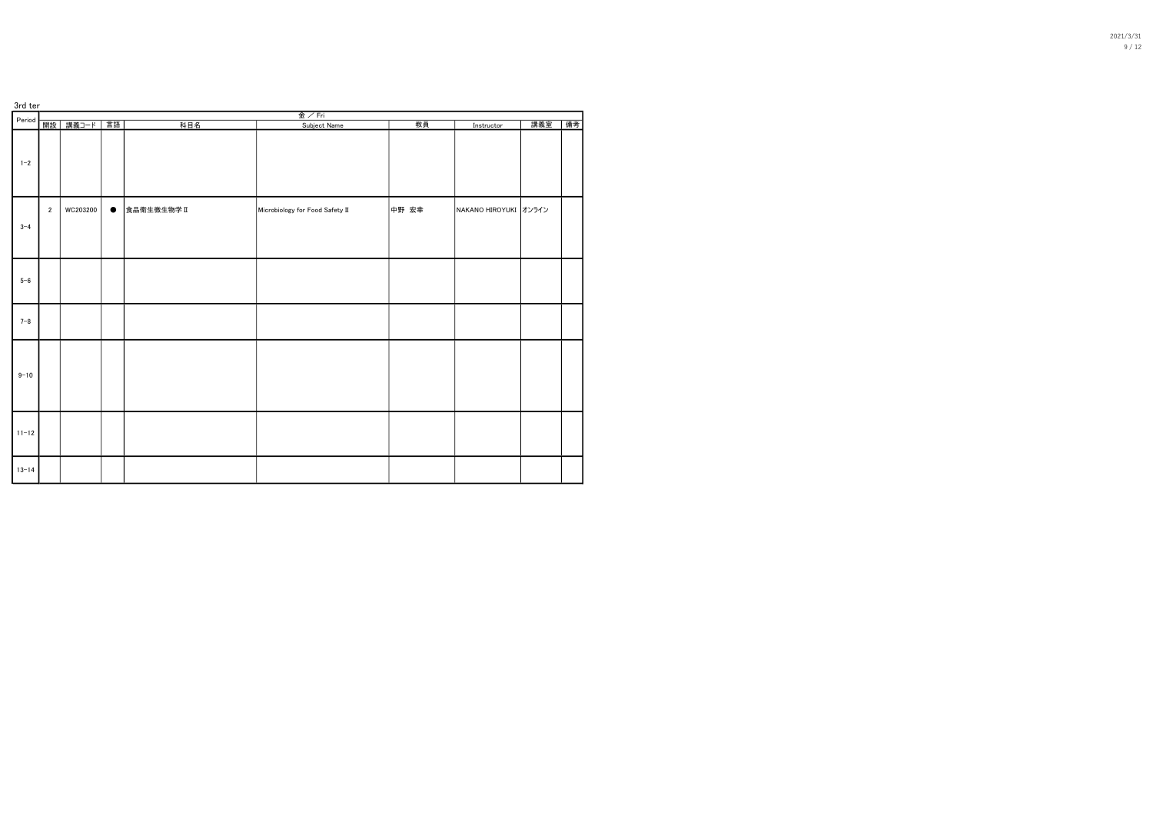| 3rd ter   |                |          |           |            | 金/Fri                           |       |                       |     |    |
|-----------|----------------|----------|-----------|------------|---------------------------------|-------|-----------------------|-----|----|
| Period    | 開設             | 講義コード    | 言語        | 科目名        | Subject Name                    | 教員    | Instructor            | 講義室 | 備考 |
| $1 - 2$   |                |          |           |            |                                 |       |                       |     |    |
| $3 - 4$   | $\overline{2}$ | WC203200 | $\bullet$ | 食品衛生微生物学II | Microbiology for Food Safety II | 中野 宏幸 | NAKANO HIROYUKI オンライン |     |    |
| $5 - 6$   |                |          |           |            |                                 |       |                       |     |    |
| $7 - 8$   |                |          |           |            |                                 |       |                       |     |    |
| $9 - 10$  |                |          |           |            |                                 |       |                       |     |    |
| $11 - 12$ |                |          |           |            |                                 |       |                       |     |    |
| $13 - 14$ |                |          |           |            |                                 |       |                       |     |    |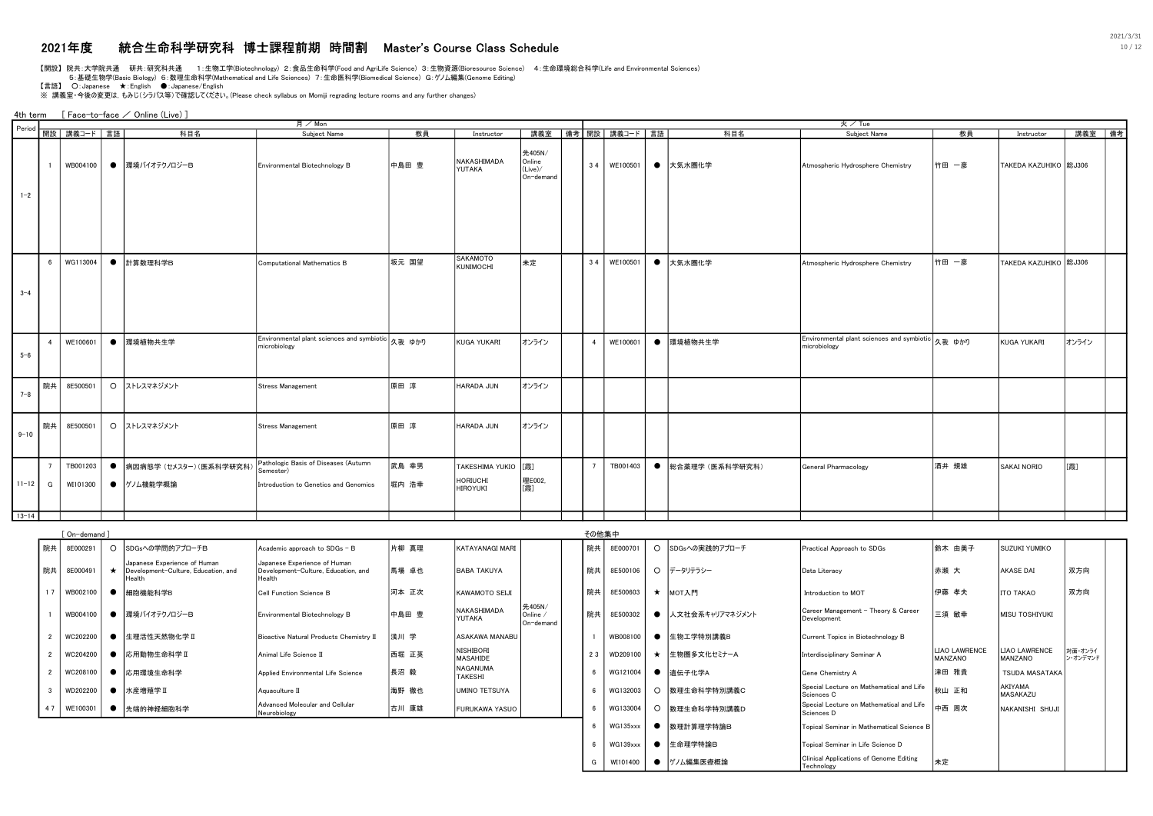# 2021年度 統合生命科学研究科 博士課程前期 時間割 Master's Course Class Schedule 10 / 12

【開設】 院共:大学院共通 研共:研究科共通 1:生物工学(Biotechnology) 2:食品生命科学(Food and AgriLife Science) 3:生物資源(Bioresource Science) 4:生命環境総合科学(Life and Environmental Sciences)

5:基礎生物学(Basic Biology) 6:数理生命科学(Mathematical and Life Sciences) 7:生命医科学(Biomedical Science) G:ゲノム編集(Genome Editing)

【言語】 ○: Japanese ★: English ●: Japanese/English<br>※ 講義室 •今後の変更は, もみじ(シラバス等)で確認してください。(Please check syllabus on Momiji regrading lecture rooms and any further changes)

4th term [ Face-to-face / Online (Live) ]

|                     |                 |               |           |                                                                               | 月 / Mon                                                                       |       |                                    |                                          |     |                |                    |           |                  | 火/Tue                                                             |                          |                                    |                     |
|---------------------|-----------------|---------------|-----------|-------------------------------------------------------------------------------|-------------------------------------------------------------------------------|-------|------------------------------------|------------------------------------------|-----|----------------|--------------------|-----------|------------------|-------------------------------------------------------------------|--------------------------|------------------------------------|---------------------|
| Period <sup>1</sup> |                 | 開設 講義コード 言語   |           | 科目名                                                                           | Subject Name                                                                  | 教員    | Instructor                         | 講義室                                      |     |                | 備考 開設   講義コード   言語 |           | 科目名              | Subject Name                                                      | 教員                       | Instructor                         | 講義室 備考              |
| $1 - 2$             | $\overline{1}$  | WB004100      |           | ● 環境バイオテクノロジーB                                                                | Environmental Biotechnology B                                                 | 中島田 豊 | NAKASHIMADA<br>YUTAKA              | 先405N/<br>Online<br>(Live)/<br>On-demand | 34  |                | WE100501           |           | ● 大気水圏化学         | Atmospheric Hydrosphere Chemistry                                 | 竹田 一彦                    | TAKEDA KAZUHIKO <sup>88</sup> J306 |                     |
|                     |                 |               |           |                                                                               |                                                                               |       | SAKAMOTO                           |                                          |     |                |                    |           |                  |                                                                   |                          |                                    |                     |
| $3 - 4$             | $6\overline{6}$ | WG113004      |           | ● 計算数理科学B                                                                     | Computational Mathematics B                                                   | 坂元 国望 | KUNIMOCHI                          | 未定                                       | 34  |                | WE100501           |           | ● 大気水圏化学         | Atmospheric Hydrosphere Chemistry                                 | 竹田 一彦                    | TAKEDA KAZUHIKO <sup>88</sup> J306 |                     |
| $5 - 6$             | $\overline{4}$  | WE100601      |           | ● 環境植物共生学                                                                     | Environmental plant sciences and symbiotic 久我 ゆかり<br>microbiology             |       | KUGA YUKARI                        | オンライン                                    |     | $\overline{a}$ | WE100601           |           | ● 環境植物共生学        | Environmental plant sciences and symbiotic 久我 ゆかり<br>microbiology |                          | KUGA YUKARI                        | オンライン               |
| $7 - 8$             | 院共              | 8E500501      |           | ○ ストレスマネジメント                                                                  | Stress Management                                                             | 原田 淳  | HARADA JUN                         | オンライン                                    |     |                |                    |           |                  |                                                                   |                          |                                    |                     |
| $9 - 10$            | 院共              | 8E500501      |           | ○ ストレスマネジメント                                                                  | <b>Stress Management</b>                                                      | 原田 淳  | HARADA JUN                         | オンライン                                    |     |                |                    |           |                  |                                                                   |                          |                                    |                     |
|                     | $7^{\circ}$     | TB001203      | $\bullet$ | 病因病態学 (セメスター)(医系科学研究科)                                                        | Pathologic Basis of Diseases (Autumn<br>Semester)                             | 武島 幸男 | TAKESHIMA YUKIO<br><b>HORIUCHI</b> | [霞]<br>理E002.                            |     | $\overline{7}$ | TB001403           | $\bullet$ | 総合薬理学 (医系科学研究科)  | General Pharmacology                                              | 酒井 規雄                    | SAKAI NORIO                        | [霞]                 |
| $11 - 12$           | G               | WI101300      | $\bullet$ | ゲノム機能学概論                                                                      | Introduction to Genetics and Genomics                                         | 堀内 浩幸 | <b>HIROYUKI</b>                    | [霞]                                      |     |                |                    |           |                  |                                                                   |                          |                                    |                     |
| $13 - 14$           |                 |               |           |                                                                               |                                                                               |       |                                    |                                          |     |                |                    |           |                  |                                                                   |                          |                                    |                     |
|                     |                 | ∫ On−demand ] |           |                                                                               |                                                                               |       |                                    |                                          |     | その他集中          |                    |           |                  |                                                                   |                          |                                    |                     |
|                     | 院共              | 8E000291      |           | O SDGsへの学問的アプローチB                                                             | Academic approach to SDGs - B                                                 | 片柳 真理 | KATAYANAGI MARI                    |                                          |     | 院共             | 8E000701           |           | O SDGsへの実践的アプローチ | Practical Approach to SDGs                                        | 鈴木 由美子                   | SUZUKI YUMIKO                      |                     |
|                     | 院共              | 8E000491      | $\star$   | Japanese Experience of Human<br>Development-Culture, Education, and<br>Health | Japanese Experience of Human<br>Development-Culture, Education, and<br>Health | 馬場 卓也 | <b>BABA TAKUYA</b>                 |                                          |     | 院共             | 8E500106           |           | ○ データリテラシー       | Data Literacy                                                     | 赤瀬 大                     | AKASE DAI                          | 双方向                 |
|                     | 17              | WB002100      | $\bullet$ | 細胞機能科学B                                                                       | Cell Function Science B                                                       | 河本 正次 | KAWAMOTO SEIJI                     |                                          |     | 院共             | 8E500603           |           | ★ MOT入門          | Introduction to MOT                                               | 伊藤 孝夫                    | <b>ITO TAKAO</b>                   | 双方向                 |
|                     | $\overline{1}$  | WB004100      | $\bullet$ | 環境バイオテクノロジーB                                                                  | Environmental Biotechnology B                                                 | 中島田 豊 | NAKASHIMADA<br>YUTAKA              | 先405N/<br>Online /<br>On-demand          |     | 院共             | 8E500302           | $\bullet$ | 人文社会系キャリアマネジメント  | Career Management - Theory & Career<br>Development                | 三須 敏幸                    | MISU TOSHIYUKI                     |                     |
|                     | $\overline{2}$  | WC202200      | $\bullet$ | 生理活性天然物化学Ⅱ                                                                    | Bioactive Natural Products Chemistry II                                       | 浅川 学  | ASAKAWA MANABU                     |                                          |     |                | WB008100           | $\bullet$ | 生物工学特別講義B        | Current Topics in Biotechnology B                                 |                          |                                    |                     |
|                     | $\overline{2}$  | WC204200      | $\bullet$ | 応用動物生命科学II                                                                    | Animal Life Science II                                                        | 西堀 正英 | NISHIBORI<br>MASAHIDE              |                                          | 23  |                | WD209100           | $\star$   | 生物圏多文化セミナーA      | Interdisciplinary Seminar A                                       | LIAO LAWRENCE<br>MANZANO | LIAO LAWRENCE<br>MANZANO           | 対面・オンライ<br>ン・オンデマンド |
|                     | $\overline{2}$  | WC208100      | $\bullet$ | 応用環境生命科学                                                                      | Applied Environmental Life Science                                            | 長沼 毅  | NAGANUMA<br>TAKESHI                |                                          |     | 6              | WG121004           | $\bullet$ | 遺伝子化学A           | Gene Chemistry A                                                  | 津田 雅貴                    | <b>TSUDA MASATAKA</b>              |                     |
|                     | $\mathbf{3}$    | WD202200      | $\bullet$ | 水産増殖学Ⅱ                                                                        | Aquaculture II                                                                | 海野 徹也 | UMINO TETSUYA                      |                                          |     | 6              | WG132003           | $\circ$   | 数理生命科学特別講義C      | Special Lecture on Mathematical and Life<br>Sciences C            | 秋山 正和                    | AKIYAMA<br>MASAKAZU                |                     |
|                     | 47              | WE100301      | $\bullet$ | 先端的神経細胞科学                                                                     | Advanced Molecular and Cellular<br>Neurobiology                               | 古川 康雄 | FURUKAWA YASUO                     |                                          |     | 6              | WG133004           | $\circ$   | 数理生命科学特別講義D      | Special Lecture on Mathematical and Life<br>Sciences D            | 中西 周次                    | NAKANISHI SHUJI                    |                     |
|                     |                 |               |           |                                                                               |                                                                               |       |                                    |                                          | 6   |                | WG135xxx           | $\bullet$ | 数理計算理学特論B        | Topical Seminar in Mathematical Science B                         |                          |                                    |                     |
|                     |                 |               |           |                                                                               |                                                                               |       |                                    |                                          | - 6 |                | WG139xxx           | $\bullet$ | 生命理学特論B          | Topical Seminar in Life Science D                                 |                          |                                    |                     |
|                     |                 |               |           |                                                                               |                                                                               |       |                                    |                                          | G   |                | WI101400           | $\bullet$ | グノム編集医療概論        | Clinical Applications of Genome Editing<br>Technology             | 未定                       |                                    |                     |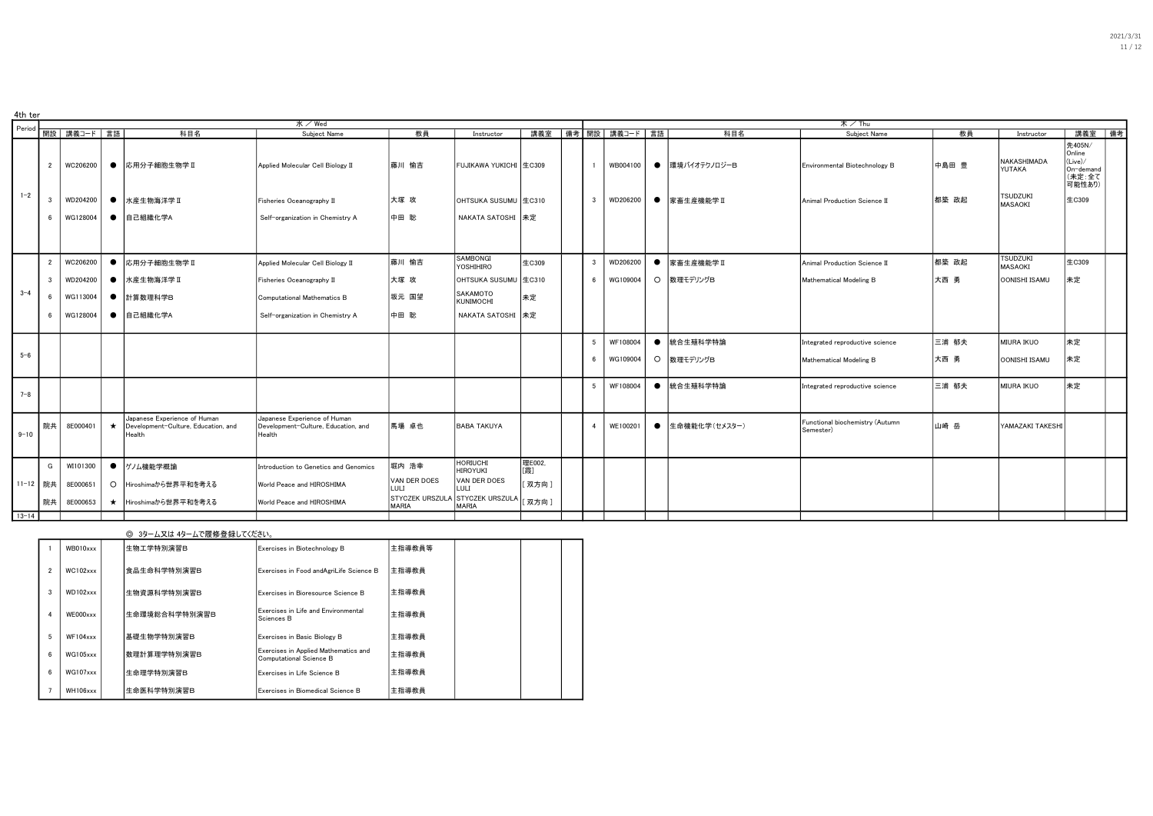| 4th ter   |                |                 |         |                                                                               |                                                                               |                      |                                          |                |                         |                 |                                 |                                              |                   |                            |                                                             |
|-----------|----------------|-----------------|---------|-------------------------------------------------------------------------------|-------------------------------------------------------------------------------|----------------------|------------------------------------------|----------------|-------------------------|-----------------|---------------------------------|----------------------------------------------|-------------------|----------------------------|-------------------------------------------------------------|
| Period    |                |                 |         |                                                                               | 水/Wed                                                                         |                      |                                          |                |                         |                 |                                 | 木/Thu                                        |                   |                            |                                                             |
|           |                | 開設   講義コード   言語 |         | 科目名                                                                           | Subiect Name                                                                  | 教員                   | Instructor                               | 講義室            |                         | │備考┃開設│講義コード│言語 | 科目名                             | Subject Name                                 | 教員                | Instructor                 | 講義室 備考                                                      |
|           | $\overline{2}$ | WC206200        |         | ● 応用分子細胞生物学Ⅱ                                                                  | Applied Molecular Cell Biology II                                             | 藤川 愉吉                | FUJIKAWA YUKICHI 生C309                   |                | $\overline{1}$          | WB004100        | ● 環境バイオテクノロジーB                  | Environmental Biotechnology B                | 中島田豊              | NAKASHIMADA<br>YUTAKA      | 先405N/<br>Online<br>(Live)/<br>On-demand<br>(未定:全て<br>可能性あり |
| $1 - 2$   | -3             | WD204200        |         | ● 水産生物海洋学Ⅱ                                                                    | Fisheries Oceanography II                                                     | 大塚 攻                 | OHTSUKA SUSUMU 生C310                     |                | $\mathbf{3}$            | WD206200        | ● 家畜生産機能学Ⅱ                      | Animal Production Science II                 | 都築 政起             | <b>TSUDZUKI</b><br>MASAOKI | 生C309                                                       |
|           |                | WG128004        |         | ● 自己組織化学A                                                                     | Self-organization in Chemistry A                                              | 中田 聡                 | NAKATA SATOSHI 未定                        |                |                         |                 |                                 |                                              |                   |                            |                                                             |
|           |                |                 |         |                                                                               |                                                                               |                      |                                          |                |                         |                 |                                 |                                              |                   |                            |                                                             |
|           | $\overline{2}$ | WC206200        |         | ● 応用分子細胞生物学Ⅱ                                                                  | Applied Molecular Cell Biology II                                             | 藤川 愉吉                | SAMBONGI<br>YOSHIHIRO                    | 生C309          | $\overline{\mathbf{3}}$ | WD206200        | ● 家畜生産機能学Ⅱ                      | Animal Production Science II                 | 都築 政起             | <b>TSUDZUKI</b><br>MASAOKI | 生C309                                                       |
|           | $\mathbf{3}$   | WD204200        |         | ● 水産生物海洋学Ⅱ                                                                    | Fisheries Oceanography II                                                     | 大塚 攻                 | OHTSUKA SUSUMU 生C310                     |                |                         | 6   WG109004    | O 数理モデリングB                      | Mathematical Modeling B                      | 大西 勇              | OONISHI ISAMU              | 未定                                                          |
| $3 - 4$   |                | WG113004        |         | ● 計算数理科学B                                                                     | Computational Mathematics B                                                   | 坂元 国望                | SAKAMOTO<br><b>KUNIMOCHI</b>             | 未定             |                         |                 |                                 |                                              |                   |                            |                                                             |
|           |                | WG128004        |         | ● 自己組織化学A                                                                     | Self-organization in Chemistry A                                              | 中田 聡                 | NAKATA SATOSHI 未定                        |                |                         |                 |                                 |                                              |                   |                            |                                                             |
|           |                |                 |         |                                                                               |                                                                               |                      |                                          | 5 <sub>5</sub> | WF108004                | ● 統合生殖科学特論      | Integrated reproductive science | 三浦 郁夫                                        | <b>MIURA IKUO</b> | 未定                         |                                                             |
| $5 - 6$   |                |                 |         |                                                                               |                                                                               |                      |                                          |                | 6                       | WG109004        | O 数理モデリングB                      | Mathematical Modeling B                      | 大西勇               | OONISHI ISAMU              | 未定                                                          |
| $7 - 8$   |                |                 |         |                                                                               |                                                                               |                      |                                          |                | 5 <sub>5</sub>          | WF108004        | ● 統合生殖科学特論                      | Integrated reproductive science              | 三浦 郁夫             | <b>MIURA IKUO</b>          | 未定                                                          |
| $9 - 10$  | 院共             | 8E000401        | $\star$ | Japanese Experience of Human<br>Development-Culture, Education, and<br>Health | Japanese Experience of Human<br>Development-Culture, Education, and<br>Health | 馬場 卓也                | <b>BABA TAKUYA</b>                       |                | $\overline{4}$          | WE100201        | ● 生命機能化学(セメスター)                 | Functional biochemistry (Autumn<br>Semester) | 山崎 岳              | YAMAZAKI TAKESHI           |                                                             |
|           | G              | WI101300        |         | ● ゲノム機能学概論                                                                    | Introduction to Genetics and Genomics                                         | 堀内 浩幸                | <b>HORIUCHI</b><br><b>HIROYUKI</b>       | 理E002.<br>[霞]  |                         |                 |                                 |                                              |                   |                            |                                                             |
| 11-12 院共  |                | 8E000651        |         | ○ Hiroshimaから世界平和を考える                                                         | World Peace and HIROSHIMA                                                     | VAN DER DOES<br>LULI | VAN DER DOES<br>LULI                     | [双方向]          |                         |                 |                                 |                                              |                   |                            |                                                             |
|           | 院共             | 8E000653        |         | ★ Hiroshimaから世界平和を考える                                                         | World Peace and HIROSHIMA                                                     | <b>MARIA</b>         | STYCZEK URSZULA STYCZEK URSZULA<br>MARIA | 双方向]           |                         |                 |                                 |                                              |                   |                            |                                                             |
| $13 - 14$ |                |                 |         |                                                                               |                                                                               |                      |                                          |                |                         |                 |                                 |                                              |                   |                            |                                                             |

#### ◎ 3ターム又は 4タームで履修登録してください。

|                | WB010xxx        | 生物工学特別演習B           | Exercises in Biotechnology B                                    | 主指導教員等 |  |  |
|----------------|-----------------|---------------------|-----------------------------------------------------------------|--------|--|--|
| $\overline{2}$ | $WC102$ x x x   | 食品生命科学特別演習B         | Exercises in Food andAgriLife Science B                         | 主指導教員  |  |  |
| 3              | $WD102$ xxx     | <b>│生物資源科学特別演習B</b> | Exercises in Bioresource Science B                              | 主指導教員  |  |  |
| 4              | WE000xxx        | 生命環境総合科学特別演習B       | Exercises in Life and Environmental<br>Sciences B               | 主指導教員  |  |  |
| 5              | $WF104$ x x x   | 基礎生物学特別演習B          | Exercises in Basic Biology B                                    | 主指導教員  |  |  |
| 6              | <b>WG105xxx</b> | │数理計算理学特別演習B        | Exercises in Applied Mathematics and<br>Computational Science B | 主指導教員  |  |  |
| 6              | <b>WG107xxx</b> | 生命理学特別演習B           | Exercises in Life Science B                                     | 主指導教員  |  |  |
|                | WH106xxx        | 生命医科学特別演習B          | Exercises in Biomedical Science B                               | 主指導教員  |  |  |